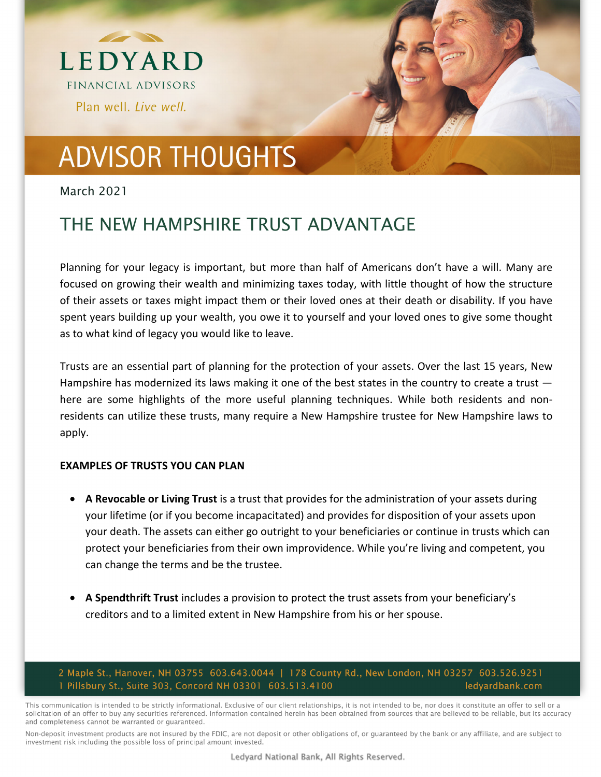



# **ADVISOR THOUGHTS**

### March 2021

### THE NEW HAMPSHIRE TRUST ADVANTAGE

Planning for your legacy is important, but more than half of Americans don't have a will. Many are focused on growing their wealth and minimizing taxes today, with little thought of how the structure of their assets or taxes might impact them or their loved ones at their death or disability. If you have spent years building up your wealth, you owe it to yourself and your loved ones to give some thought as to what kind of legacy you would like to leave.

Trusts are an essential part of planning for the protection of your assets. Over the last 15 years, New Hampshire has modernized its laws making it one of the best states in the country to create a trust  $$ here are some highlights of the more useful planning techniques. While both residents and nonresidents can utilize these trusts, many require a New Hampshire trustee for New Hampshire laws to apply.

### **EXAMPLES OF TRUSTS YOU CAN PLAN**

- **A Revocable or Living Trust** is a trust that provides for the administration of your assets during your lifetime (or if you become incapacitated) and provides for disposition of your assets upon your death. The assets can either go outright to your beneficiaries or continue in trusts which can protect your beneficiaries from their own improvidence. While you're living and competent, you can change the terms and be the trustee.
- **A Spendthrift Trust** includes a provision to protect the trust assets from your beneficiary's creditors and to a limited extent in New Hampshire from his or her spouse.

#### 2 Maple St., Hanover, NH 03755 603.643.0044 | 178 County Rd., New London, NH 03257 603.526.9251 1 Pillsbury St., Suite 303, Concord NH 03301 603.513.4100 ledyardbank.com

This communication is intended to be strictly informational. Exclusive of our client relationships, it is not intended to be, nor does it constitute an offer to sell or a solicitation of an offer to buy any securities referenced. Information contained herein has been obtained from sources that are believed to be reliable, but its accuracy and completeness cannot be warranted or guaranteed.

Non-deposit investment products are not insured by the FDIC, are not deposit or other obligations of, or guaranteed by the bank or any affiliate, and are subject to investment risk including the possible loss of principal amount invested.

Ledyard National Bank, All Rights Reserved.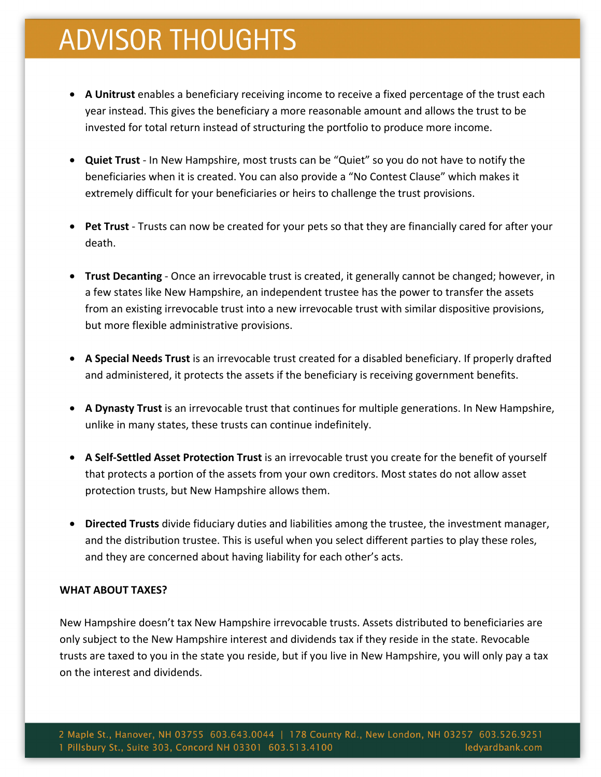## **ADVISOR THOUGHTS**

- **A Unitrust** enables a beneficiary receiving income to receive a fixed percentage of the trust each year instead. This gives the beneficiary a more reasonable amount and allows the trust to be invested for total return instead of structuring the portfolio to produce more income.
- **Quiet Trust**  In New Hampshire, most trusts can be "Quiet" so you do not have to notify the beneficiaries when it is created. You can also provide a "No Contest Clause" which makes it extremely difficult for your beneficiaries or heirs to challenge the trust provisions.
- **Pet Trust**  Trusts can now be created for your pets so that they are financially cared for after your death.
- **Trust Decanting**  Once an irrevocable trust is created, it generally cannot be changed; however, in a few states like New Hampshire, an independent trustee has the power to transfer the assets from an existing irrevocable trust into a new irrevocable trust with similar dispositive provisions, but more flexible administrative provisions.
- **A Special Needs Trust** is an irrevocable trust created for a disabled beneficiary. If properly drafted and administered, it protects the assets if the beneficiary is receiving government benefits.
- **A Dynasty Trust** is an irrevocable trust that continues for multiple generations. In New Hampshire, unlike in many states, these trusts can continue indefinitely.
- **A Self-Settled Asset Protection Trust** is an irrevocable trust you create for the benefit of yourself that protects a portion of the assets from your own creditors. Most states do not allow asset protection trusts, but New Hampshire allows them.
- **Directed Trusts** divide fiduciary duties and liabilities among the trustee, the investment manager, and the distribution trustee. This is useful when you select different parties to play these roles, and they are concerned about having liability for each other's acts.

### **WHAT ABOUT TAXES?**

New Hampshire doesn't tax New Hampshire irrevocable trusts. Assets distributed to beneficiaries are only subject to the New Hampshire interest and dividends tax if they reside in the state. Revocable trusts are taxed to you in the state you reside, but if you live in New Hampshire, you will only pay a tax on the interest and dividends.